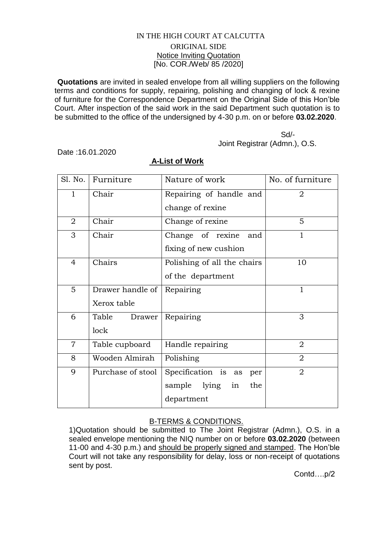## IN THE HIGH COURT AT CALCUTTA ORIGINAL SIDE Notice Inviting Quotation [No. COR./Web/ 85 /2020]

**Quotations** are invited in sealed envelope from all willing suppliers on the following terms and conditions for supply, repairing, polishing and changing of lock & rexine of furniture for the Correspondence Department on the Original Side of this Hon'ble Court. After inspection of the said work in the said Department such quotation is to be submitted to the office of the undersigned by 4-30 p.m. on or before **03.02.2020**.

 Sd/- Joint Registrar (Admn.), O.S.

Date :16.01.2020

|                | Sl. No.   Furniture | Nature of work              | No. of furniture |
|----------------|---------------------|-----------------------------|------------------|
| $\mathbf{1}$   | Chair               | Repairing of handle and     | $\overline{2}$   |
|                |                     | change of rexine            |                  |
| $\overline{2}$ | Chair               | Change of rexine            | 5                |
| 3              | Chair               | Change of rexine<br>and     | 1                |
|                |                     | fixing of new cushion       |                  |
| 4              | Chairs              | Polishing of all the chairs | 10               |
|                |                     | of the department           |                  |
| 5              | Drawer handle of    | Repairing                   | 1                |
|                | Xerox table         |                             |                  |
| 6              | Table<br>Drawer     | Repairing                   | 3                |
|                | lock                |                             |                  |
| $\overline{7}$ | Table cupboard      | Handle repairing            | $\overline{2}$   |
| 8              | Wooden Almirah      | Polishing                   | $\overline{2}$   |
| 9              | Purchase of stool   | Specification is as<br>per  | $\overline{2}$   |
|                |                     | sample lying<br>in<br>the   |                  |
|                |                     | department                  |                  |

## **A-List of Work**

## B-TERMS & CONDITIONS.

1)Quotation should be submitted to The Joint Registrar (Admn.), O.S. in a sealed envelope mentioning the NIQ number on or before **03.02.2020** (between 11-00 and 4-30 p.m.) and should be properly signed and stamped. The Hon'ble Court will not take any responsibility for delay, loss or non-receipt of quotations sent by post.

Contd….p/2